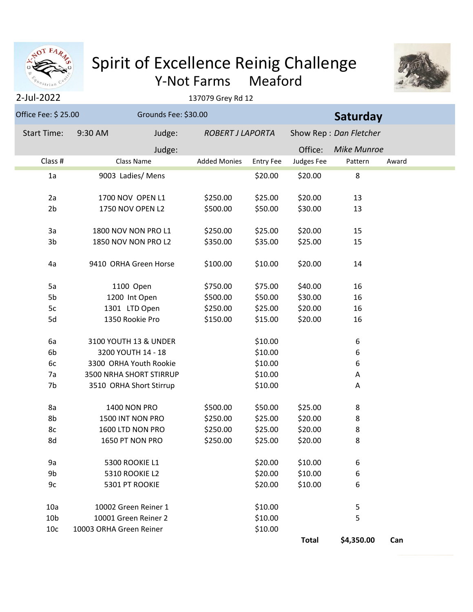

## Y-Not Farms Meaford Spirit of Excellence Reinig Challenge



## 137079 Grey Rd 12

| Office Fee: \$ 25.00 | Grounds Fee: \$30.00    |                     |                         |              | Saturday               |       |  |  |
|----------------------|-------------------------|---------------------|-------------------------|--------------|------------------------|-------|--|--|
| <b>Start Time:</b>   | 9:30 AM<br>Judge:       |                     | <b>ROBERT J LAPORTA</b> |              | Show Rep: Dan Fletcher |       |  |  |
|                      | Judge:                  |                     |                         | Office:      | <b>Mike Munroe</b>     |       |  |  |
| Class #              | <b>Class Name</b>       | <b>Added Monies</b> | <b>Entry Fee</b>        | Judges Fee   | Pattern                | Award |  |  |
| 1a                   | 9003 Ladies/ Mens       |                     | \$20.00                 | \$20.00      | 8                      |       |  |  |
| 2a                   | 1700 NOV OPEN L1        | \$250.00            | \$25.00                 | \$20.00      | 13                     |       |  |  |
| 2 <sub>b</sub>       | 1750 NOV OPEN L2        | \$500.00            | \$50.00                 | \$30.00      | 13                     |       |  |  |
|                      |                         |                     |                         |              |                        |       |  |  |
| 3a                   | 1800 NOV NON PRO L1     | \$250.00            | \$25.00                 | \$20.00      | 15                     |       |  |  |
| 3b                   | 1850 NOV NON PRO L2     | \$350.00            | \$35.00                 | \$25.00      | 15                     |       |  |  |
| 4a                   | 9410 ORHA Green Horse   | \$100.00            | \$10.00                 | \$20.00      | 14                     |       |  |  |
| 5a                   | 1100 Open               | \$750.00            | \$75.00                 | \$40.00      | 16                     |       |  |  |
| 5b                   | 1200 Int Open           | \$500.00            | \$50.00                 | \$30.00      | 16                     |       |  |  |
| 5c                   | 1301 LTD Open           | \$250.00            | \$25.00                 | \$20.00      | 16                     |       |  |  |
| 5d                   | 1350 Rookie Pro         | \$150.00            | \$15.00                 | \$20.00      | 16                     |       |  |  |
| 6a                   | 3100 YOUTH 13 & UNDER   |                     | \$10.00                 |              | 6                      |       |  |  |
| 6b                   | 3200 YOUTH 14 - 18      |                     | \$10.00                 |              | 6                      |       |  |  |
| 6c                   | 3300 ORHA Youth Rookie  |                     | \$10.00                 |              | 6                      |       |  |  |
| 7a                   | 3500 NRHA SHORT STIRRUP |                     | \$10.00                 |              | Α                      |       |  |  |
| 7b                   | 3510 ORHA Short Stirrup |                     | \$10.00                 |              | Α                      |       |  |  |
| 8a                   | <b>1400 NON PRO</b>     | \$500.00            | \$50.00                 | \$25.00      | 8                      |       |  |  |
| 8b                   | 1500 INT NON PRO        | \$250.00            | \$25.00                 | \$20.00      | 8                      |       |  |  |
| 8c                   | 1600 LTD NON PRO        | \$250.00            | \$25.00                 | \$20.00      | 8                      |       |  |  |
| 8d                   | 1650 PT NON PRO         | \$250.00            | \$25.00                 | \$20.00      | 8                      |       |  |  |
| 9a                   | 5300 ROOKIE L1          |                     | \$20.00                 | \$10.00      | 6                      |       |  |  |
| 9b                   | 5310 ROOKIE L2          |                     | \$20.00                 | \$10.00      | 6                      |       |  |  |
| 9c                   | 5301 PT ROOKIE          |                     | \$20.00                 | \$10.00      | 6                      |       |  |  |
| 10a                  | 10002 Green Reiner 1    |                     | \$10.00                 |              | 5                      |       |  |  |
| 10 <sub>b</sub>      | 10001 Green Reiner 2    |                     | \$10.00                 |              | 5                      |       |  |  |
| 10 <sub>c</sub>      | 10003 ORHA Green Reiner |                     | \$10.00                 |              |                        |       |  |  |
|                      |                         |                     |                         | <b>Total</b> | \$4,350.00             | Can   |  |  |